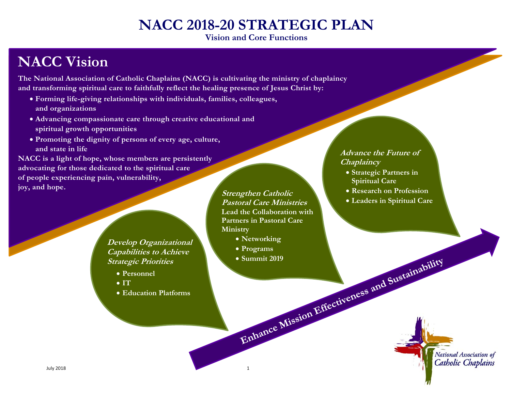# **NACC 2018-20 STRATEGIC PLAN**

**Vision and Core Functions** 

## **NACC Vision**

**The National Association of Catholic Chaplains (NACC) is cultivating the ministry of chaplaincy and transforming spiritual care to faithfully reflect the healing presence of Jesus Christ by:** 

- **Forming life-giving relationships with individuals, families, colleagues, and organizations**
- **Advancing compassionate care through creative educational and spiritual growth opportunities**
- **Promoting the dignity of persons of every age, culture, and state in life**

**NACC is a light of hope, whose members are persistently advocating for those dedicated to the spiritual care of people experiencing pain, vulnerability, joy, and hope.** Strengthen Catholic **Catholic Strengthen Catholic** *Strengthen Catholic*

> **Develop Organizational Capabilities to Achieve Strategic Priorities**

- **Personnel**
- $\bullet$  IT
- **Education Platforms**

**Pastoral Care Ministries Lead the Collaboration with Partners in Pastoral Care Ministry** 

- **Networking**
- Programs **Programs**
- **Summit 2019**

#### **Advance the Future of Chaplaincy**

- **Strategic Partners in Spiritual Care**
- **Research on Profession**
- **Leaders in Spiritual Care**

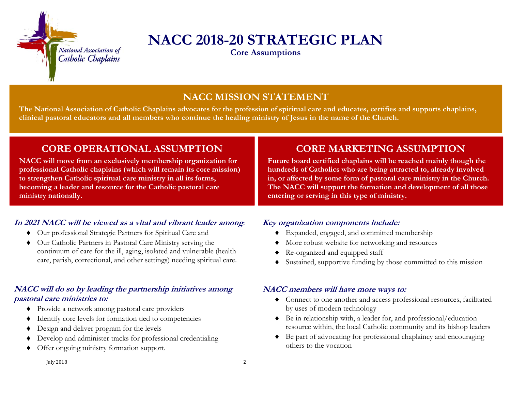

## **NACC 2018-20 STRATEGIC PLAN**

**Core Assumptions** 

## **NACC MISSION STATEMENT**

**The National Association of Catholic Chaplains advocates for the profession of spiritual care and educates, certifies and supports chaplains, clinical pastoral educators and all members who continue the healing ministry of Jesus in the name of the Church.** 

### **CORE OPERATIONAL ASSUMPTION**

**NACC will move from an exclusively membership organization for professional Catholic chaplains (which will remain its core mission) to strengthen Catholic spiritual care ministry in all its forms, becoming a leader and resource for the Catholic pastoral care ministry nationally.** 

#### **In 2021 NACC will be viewed as a vital and vibrant leader among**:

- Our professional Strategic Partners for Spiritual Care and
- Our Catholic Partners in Pastoral Care Ministry serving the continuum of care for the ill, aging, isolated and vulnerable (health care, parish, correctional, and other settings) needing spiritual care.

#### **NACC will do so by leading the partnership initiatives among pastoral care ministries to:**

- Provide a network among pastoral care providers
- Identify core levels for formation tied to competencies
- Design and deliver program for the levels
- ◆ Develop and administer tracks for professional credentialing
- Offer ongoing ministry formation support.

### **CORE MARKETING ASSUMPTION**

**Future board certified chaplains will be reached mainly though the hundreds of Catholics who are being attracted to, already involved in, or affected by some form of pastoral care ministry in the Church. The NACC will support the formation and development of all those entering or serving in this type of ministry.** 

#### **Key organization components include:**

- Expanded, engaged, and committed membership
- More robust website for networking and resources
- Re-organized and equipped staff
- Sustained, supportive funding by those committed to this mission

#### **NACC members will have more ways to:**

- Connect to one another and access professional resources, facilitated by uses of modern technology
- Be in relationship with, a leader for, and professional/education resource within, the local Catholic community and its bishop leaders
- Be part of advocating for professional chaplaincy and encouraging others to the vocation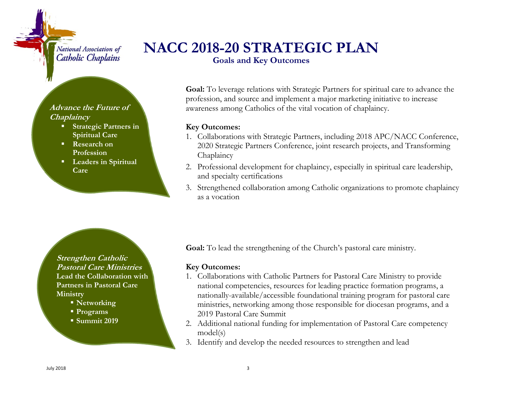#### National Association of Catholic Chaplains

#### **Advance the Future of Chaplaincy**

- **Strategic Partners in Spiritual Care**
- **Research on Profession**
- **Leaders in Spiritual Care**

## **NACC 2018-20 STRATEGIC PLAN**

**Goals and Key Outcomes** 

**Goal:** To leverage relations with Strategic Partners for spiritual care to advance the profession, and source and implement a major marketing initiative to increase awareness among Catholics of the vital vocation of chaplaincy.

#### **Key Outcomes:**

- 1. Collaborations with Strategic Partners, including 2018 APC/NACC Conference, 2020 Strategic Partners Conference, joint research projects, and Transforming Chaplaincy
- 2. Professional development for chaplaincy, especially in spiritual care leadership, and specialty certifications
- 3. Strengthened collaboration among Catholic organizations to promote chaplaincy as a vocation

**Strengthen Catholic Pastoral Care Ministries Lead the Collaboration with Partners in Pastoral Care Ministry** 

- **Networking**
- **Programs**
- **Summit 2019**

**Goal:** To lead the strengthening of the Church's pastoral care ministry.

#### **Key Outcomes:**

- 1. Collaborations with Catholic Partners for Pastoral Care Ministry to provide national competencies, resources for leading practice formation programs, a nationally-available/accessible foundational training program for pastoral care ministries, networking among those responsible for diocesan programs, and a 2019 Pastoral Care Summit
- 2. Additional national funding for implementation of Pastoral Care competency model(s)
- 3. Identify and develop the needed resources to strengthen and lead